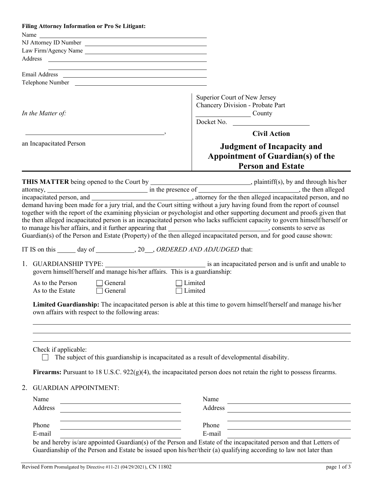|                                                                                                                  | Filing Attorney Information or Pro Se Litigant:                                                                                                                                                                                      |  |                                                                                                                             |
|------------------------------------------------------------------------------------------------------------------|--------------------------------------------------------------------------------------------------------------------------------------------------------------------------------------------------------------------------------------|--|-----------------------------------------------------------------------------------------------------------------------------|
|                                                                                                                  | Name experience and the same state of the same state of the same state of the same state of the same state of the same state of the same state of the same state of the same state of the same state of the same state of the        |  |                                                                                                                             |
|                                                                                                                  | NJ Attorney ID Number                                                                                                                                                                                                                |  |                                                                                                                             |
|                                                                                                                  | Law Firm/Agency Name                                                                                                                                                                                                                 |  |                                                                                                                             |
|                                                                                                                  |                                                                                                                                                                                                                                      |  |                                                                                                                             |
|                                                                                                                  |                                                                                                                                                                                                                                      |  |                                                                                                                             |
|                                                                                                                  | Email Address <u>and a state of the state of the state of the state of the state of the state of the state of the state of the state of the state of the state of the state of the state of the state of the state of the state </u> |  |                                                                                                                             |
|                                                                                                                  |                                                                                                                                                                                                                                      |  |                                                                                                                             |
| In the Matter of:                                                                                                |                                                                                                                                                                                                                                      |  | Superior Court of New Jersey<br>Chancery Division - Probate Part<br>County<br>Docket No.                                    |
|                                                                                                                  |                                                                                                                                                                                                                                      |  | <b>Civil Action</b>                                                                                                         |
| an Incapacitated Person                                                                                          |                                                                                                                                                                                                                                      |  |                                                                                                                             |
|                                                                                                                  |                                                                                                                                                                                                                                      |  | <b>Judgment of Incapacity and</b>                                                                                           |
|                                                                                                                  |                                                                                                                                                                                                                                      |  | Appointment of Guardian(s) of the                                                                                           |
|                                                                                                                  |                                                                                                                                                                                                                                      |  | <b>Person and Estate</b>                                                                                                    |
|                                                                                                                  |                                                                                                                                                                                                                                      |  |                                                                                                                             |
|                                                                                                                  |                                                                                                                                                                                                                                      |  |                                                                                                                             |
|                                                                                                                  |                                                                                                                                                                                                                                      |  |                                                                                                                             |
|                                                                                                                  |                                                                                                                                                                                                                                      |  |                                                                                                                             |
|                                                                                                                  |                                                                                                                                                                                                                                      |  |                                                                                                                             |
|                                                                                                                  |                                                                                                                                                                                                                                      |  | together with the report of the examining physician or psychologist and other supporting document and proofs given that     |
|                                                                                                                  |                                                                                                                                                                                                                                      |  | the then alleged incapacitated person is an incapacitated person who lacks sufficient capacity to govern himself/herself or |
|                                                                                                                  |                                                                                                                                                                                                                                      |  | to manage his/her affairs, and it further appearing that ________________________________, consents to serve as             |
|                                                                                                                  |                                                                                                                                                                                                                                      |  | Guardian(s) of the Person and Estate (Property) of the then alleged incapacitated person, and for good cause shown:         |
|                                                                                                                  | IT IS on this ______ day of ___________, 20___, ORDERED AND ADJUDGED that:                                                                                                                                                           |  |                                                                                                                             |
|                                                                                                                  |                                                                                                                                                                                                                                      |  |                                                                                                                             |
|                                                                                                                  | govern himself/herself and manage his/her affairs. This is a guardianship:                                                                                                                                                           |  |                                                                                                                             |
| As to the Person<br>General<br>Limited<br>As to the Estate $\Box$ General<br>Limited                             |                                                                                                                                                                                                                                      |  |                                                                                                                             |
|                                                                                                                  |                                                                                                                                                                                                                                      |  |                                                                                                                             |
|                                                                                                                  |                                                                                                                                                                                                                                      |  |                                                                                                                             |
| Limited Guardianship: The incapacitated person is able at this time to govern himself/herself and manage his/her |                                                                                                                                                                                                                                      |  |                                                                                                                             |
| own affairs with respect to the following areas:                                                                 |                                                                                                                                                                                                                                      |  |                                                                                                                             |
|                                                                                                                  |                                                                                                                                                                                                                                      |  |                                                                                                                             |
|                                                                                                                  |                                                                                                                                                                                                                                      |  |                                                                                                                             |
|                                                                                                                  |                                                                                                                                                                                                                                      |  |                                                                                                                             |
|                                                                                                                  | Check if applicable:                                                                                                                                                                                                                 |  | The subject of this guardianship is incapacitated as a result of developmental disability.                                  |
|                                                                                                                  |                                                                                                                                                                                                                                      |  | Firearms: Pursuant to 18 U.S.C. $922(g)(4)$ , the incapacitated person does not retain the right to possess firearms.       |
| 2.                                                                                                               | <b>GUARDIAN APPOINTMENT:</b>                                                                                                                                                                                                         |  |                                                                                                                             |
|                                                                                                                  |                                                                                                                                                                                                                                      |  |                                                                                                                             |
| Name                                                                                                             |                                                                                                                                                                                                                                      |  | Name                                                                                                                        |
|                                                                                                                  | Address<br>Address                                                                                                                                                                                                                   |  |                                                                                                                             |
|                                                                                                                  |                                                                                                                                                                                                                                      |  |                                                                                                                             |
| Phone                                                                                                            |                                                                                                                                                                                                                                      |  | Phone                                                                                                                       |
| E-mail                                                                                                           |                                                                                                                                                                                                                                      |  | E-mail                                                                                                                      |
|                                                                                                                  |                                                                                                                                                                                                                                      |  | be and hereby is/are appointed Guardian(s) of the Person and Estate of the incapacitated person and that Letters of         |
|                                                                                                                  |                                                                                                                                                                                                                                      |  | Guardianship of the Person and Estate be issued upon his/her/their (a) qualifying according to law not later than           |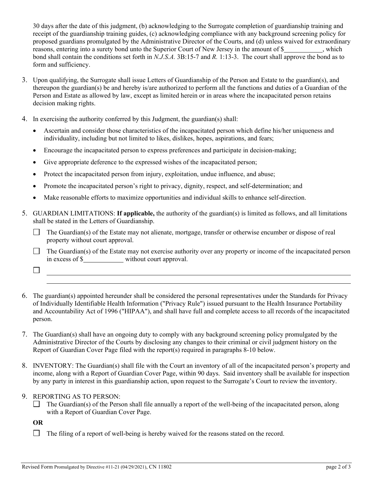30 days after the date of this judgment, (b) acknowledging to the Surrogate completion of guardianship training and receipt of the guardianship training guides, (c) acknowledging compliance with any background screening policy for proposed guardians promulgated by the Administrative Director of the Courts, and (d) unless waived for extraordinary reasons, entering into a surety bond unto the Superior Court of New Jersey in the amount of \$ bond shall contain the conditions set forth in *N.J.S.A.* 3B:15-7 and *R.* 1:13-3. The court shall approve the bond as to form and sufficiency.

- 3. Upon qualifying, the Surrogate shall issue Letters of Guardianship of the Person and Estate to the guardian(s), and thereupon the guardian(s) be and hereby is/are authorized to perform all the functions and duties of a Guardian of the Person and Estate as allowed by law, except as limited herein or in areas where the incapacitated person retains decision making rights.
- 4. In exercising the authority conferred by this Judgment, the guardian(s) shall:
	- Ascertain and consider those characteristics of the incapacitated person which define his/her uniqueness and individuality, including but not limited to likes, dislikes, hopes, aspirations, and fears;
	- Encourage the incapacitated person to express preferences and participate in decision-making;
	- Give appropriate deference to the expressed wishes of the incapacitated person;
	- Protect the incapacitated person from injury, exploitation, undue influence, and abuse;
	- Promote the incapacitated person's right to privacy, dignity, respect, and self-determination; and
	- Make reasonable efforts to maximize opportunities and individual skills to enhance self-direction.
- 5. GUARDIAN LIMITATIONS: **If applicable,** the authority of the guardian(s) is limited as follows, and all limitations shall be stated in the Letters of Guardianship.
	- $\Box$  The Guardian(s) of the Estate may not alienate, mortgage, transfer or otherwise encumber or dispose of real property without court approval.
	- $\Box$  The Guardian(s) of the Estate may not exercise authority over any property or income of the incapacitated person in excess of \$ without court approval.
	- $\Box$
- 6. The guardian(s) appointed hereunder shall be considered the personal representatives under the Standards for Privacy of Individually Identifiable Health Information ("Privacy Rule") issued pursuant to the Health Insurance Portability and Accountability Act of 1996 ("HIPAA"), and shall have full and complete access to all records of the incapacitated person.
- 7. The Guardian(s) shall have an ongoing duty to comply with any background screening policy promulgated by the Administrative Director of the Courts by disclosing any changes to their criminal or civil judgment history on the Report of Guardian Cover Page filed with the report(s) required in paragraphs 8-10 below.
- 8. INVENTORY: The Guardian(s) shall file with the Court an inventory of all of the incapacitated person's property and income, along with a Report of Guardian Cover Page, within 90 days. Said inventory shall be available for inspection by any party in interest in this guardianship action, upon request to the Surrogate's Court to review the inventory.
- 9. REPORTING AS TO PERSON:
	- $\Box$  The Guardian(s) of the Person shall file annually a report of the well-being of the incapacitated person, along with a Report of Guardian Cover Page.

**OR**

 $\Box$  The filing of a report of well-being is hereby waived for the reasons stated on the record.